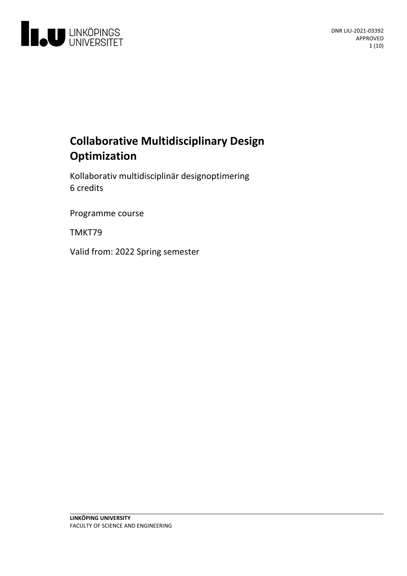

# **Collaborative Multidisciplinary Design Optimization**

Kollaborativ multidisciplinär designoptimering 6 credits

Programme course

TMKT79

Valid from: 2022 Spring semester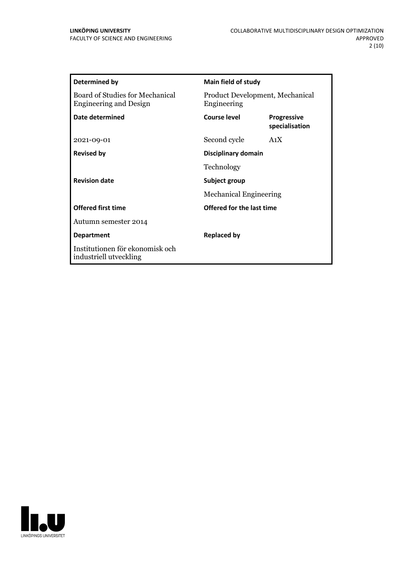| Determined by                                                    | <b>Main field of study</b>                     |                                      |
|------------------------------------------------------------------|------------------------------------------------|--------------------------------------|
| Board of Studies for Mechanical<br><b>Engineering and Design</b> | Product Development, Mechanical<br>Engineering |                                      |
| Date determined                                                  | <b>Course level</b>                            | <b>Progressive</b><br>specialisation |
| 2021-09-01                                                       | Second cycle                                   | A <sub>1</sub> X                     |
| <b>Revised by</b>                                                | Disciplinary domain                            |                                      |
|                                                                  | Technology                                     |                                      |
| <b>Revision date</b>                                             | Subject group                                  |                                      |
|                                                                  | <b>Mechanical Engineering</b>                  |                                      |
| <b>Offered first time</b>                                        | Offered for the last time                      |                                      |
| Autumn semester 2014                                             |                                                |                                      |
| <b>Department</b>                                                | <b>Replaced by</b>                             |                                      |
| Institutionen för ekonomisk och<br>industriell utveckling        |                                                |                                      |

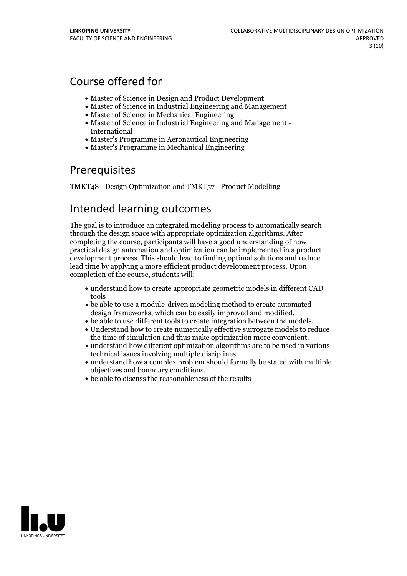# Course offered for

- Master of Science in Design and Product Development
- Master of Science in Industrial Engineering and Management
- Master of Science in Mechanical Engineering
- Master of Science in Industrial Engineering and Management International
- Master's Programme in Aeronautical Engineering
- Master's Programme in Mechanical Engineering

## Prerequisites

TMKT48 - Design Optimization and TMKT57 - Product Modelling

## Intended learning outcomes

The goal is to introduce an integrated modeling process to automatically search through the design space with appropriate optimization algorithms. After completing the course, participants will have a good understanding of how practical design automation and optimization can be implemented in a product development process. This should lead to finding optimal solutions and reduce lead time by applying a more efficient product development process. Upon completion of the course, students will:

- understand how to create appropriate geometric models in different CAD tools
- be able to use a module-driven modeling method to create automated design frameworks, which can be easily improved and modified.<br>• be able to use different tools to create integration between the models.<br>• Understand how to create numerically effective surrogate models to reduce
- 
- the time of simulation and thus make optimization more convenient.<br>• understand how different optimization algorithms are to be used in various
- 
- technical issues involving multiple disciplines.<br>• understand how a complex problem should formally be stated with multiple objectives and boundary conditions.
- $\bullet$  be able to discuss the reasonableness of the results.

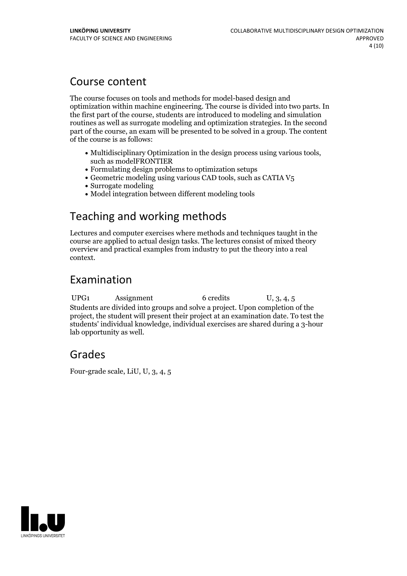## Course content

The course focuses on tools and methods for model-based design and optimization within machine engineering. The course is divided into two parts. In the first part of the course, students are introduced to modeling and simulation routines as well as surrogate modeling and optimization strategies. In the second part of the course, an exam will be presented to be solved in a group. The content of the course is as follows:

- Multidisciplinary Optimization in the design process using various tools, such asmodelFRONTIER
- Formulating design problems to optimization setups
- $\bullet$  Geometric modeling using various CAD tools, such as CATIA V<sub>5</sub>
- Surrogate modeling
- Model integration between different modeling tools

# Teaching and working methods

Lectures and computer exercises where methods and techniques taught in the course are applied to actual design tasks. The lectures consist of mixed theory overview and practical examples from industry to put the theory into a real context.

## Examination

UPG1 Assignment 6 credits U, 3, 4, 5 Students are divided into groups and solve a project. Upon completion of the project, the student will present their project at an examination date. To test the students' individual knowledge, individual exercises are shared during a 3-hour lab opportunity as well.

## Grades

Four-grade scale, LiU, U, 3, 4, 5

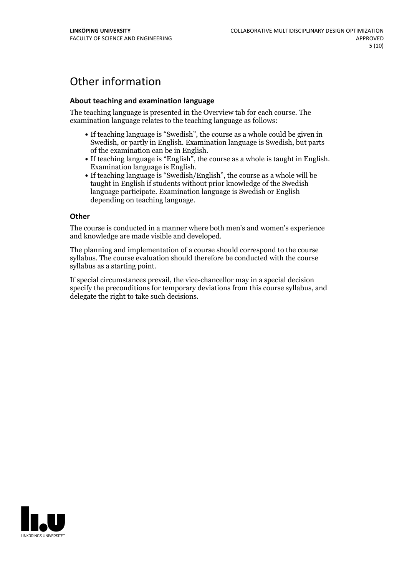# Other information

## **About teaching and examination language**

The teaching language is presented in the Overview tab for each course. The examination language relates to the teaching language as follows:

- If teaching language is "Swedish", the course as a whole could be given in Swedish, or partly in English. Examination language is Swedish, but parts
- of the examination can be in English. If teaching language is "English", the course as <sup>a</sup> whole is taught in English. Examination language is English. If teaching language is "Swedish/English", the course as <sup>a</sup> whole will be
- taught in English if students without prior knowledge of the Swedish language participate. Examination language is Swedish or English depending on teaching language.

#### **Other**

The course is conducted in a manner where both men's and women's experience and knowledge are made visible and developed.

The planning and implementation of a course should correspond to the course syllabus. The course evaluation should therefore be conducted with the course syllabus as a starting point.

If special circumstances prevail, the vice-chancellor may in a special decision specify the preconditions for temporary deviations from this course syllabus, and delegate the right to take such decisions.

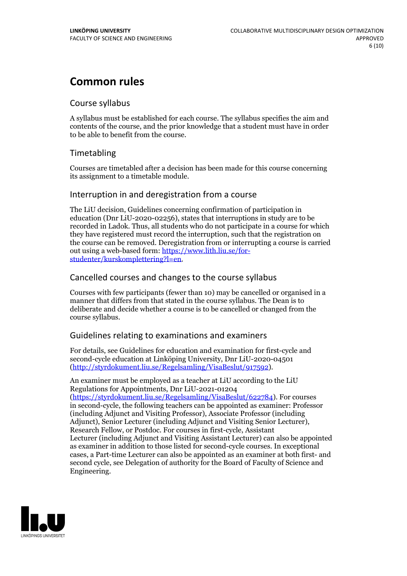# **Common rules**

## Course syllabus

A syllabus must be established for each course. The syllabus specifies the aim and contents of the course, and the prior knowledge that a student must have in order to be able to benefit from the course.

## Timetabling

Courses are timetabled after a decision has been made for this course concerning its assignment to a timetable module.

## Interruption in and deregistration from a course

The LiU decision, Guidelines concerning confirmation of participation in education (Dnr LiU-2020-02256), states that interruptions in study are to be recorded in Ladok. Thus, all students who do not participate in a course for which they have registered must record the interruption, such that the registration on the course can be removed. Deregistration from or interrupting a course is carried out using <sup>a</sup> web-based form: https://www.lith.liu.se/for- [studenter/kurskomplettering?l=en.](https://www.lith.liu.se/for-studenter/kurskomplettering?l=en)

## Cancelled coursesand changes to the course syllabus

Courses with few participants (fewer than 10) may be cancelled or organised in a manner that differs from that stated in the course syllabus. The Dean is to deliberate and decide whether a course is to be cancelled or changed from the course syllabus.

## Guidelines relating to examinations and examiners

For details, see Guidelines for education and examination for first-cycle and second-cycle education at Linköping University, Dnr LiU-2020-04501 [\(http://styrdokument.liu.se/Regelsamling/VisaBeslut/917592\)](http://styrdokument.liu.se/Regelsamling/VisaBeslut/917592).

An examiner must be employed as a teacher at LiU according to the LiU Regulations for Appointments, Dnr LiU-2021-01204 [\(https://styrdokument.liu.se/Regelsamling/VisaBeslut/622784](https://styrdokument.liu.se/Regelsamling/VisaBeslut/622784)). For courses in second-cycle, the following teachers can be appointed as examiner: Professor (including Adjunct and Visiting Professor), Associate Professor (including Adjunct), Senior Lecturer (including Adjunct and Visiting Senior Lecturer), Research Fellow, or Postdoc. For courses in first-cycle, Assistant Lecturer (including Adjunct and Visiting Assistant Lecturer) can also be appointed as examiner in addition to those listed for second-cycle courses. In exceptional cases, a Part-time Lecturer can also be appointed as an examiner at both first- and second cycle, see Delegation of authority for the Board of Faculty of Science and Engineering.

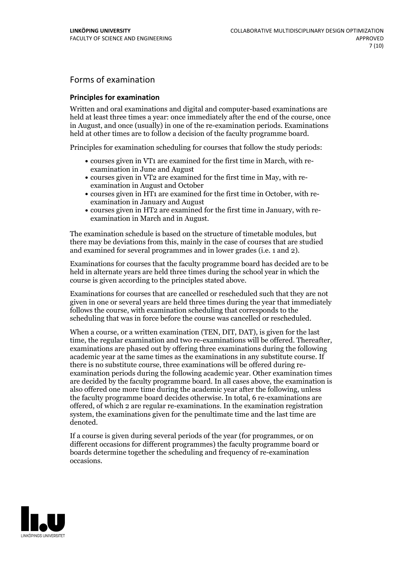## Forms of examination

### **Principles for examination**

Written and oral examinations and digital and computer-based examinations are held at least three times a year: once immediately after the end of the course, once in August, and once (usually) in one of the re-examination periods. Examinations held at other times are to follow a decision of the faculty programme board.

Principles for examination scheduling for courses that follow the study periods:

- courses given in VT1 are examined for the first time in March, with re-examination in June and August
- courses given in VT2 are examined for the first time in May, with re-examination in August and October
- courses given in HT1 are examined for the first time in October, with re-examination in January and August
- courses given in HT2 are examined for the first time in January, with re-examination in March and in August.

The examination schedule is based on the structure of timetable modules, but there may be deviations from this, mainly in the case of courses that are studied and examined for several programmes and in lower grades (i.e. 1 and 2).

Examinations for courses that the faculty programme board has decided are to be held in alternate years are held three times during the school year in which the course is given according to the principles stated above.

Examinations for courses that are cancelled orrescheduled such that they are not given in one or several years are held three times during the year that immediately follows the course, with examination scheduling that corresponds to the scheduling that was in force before the course was cancelled or rescheduled.

When a course, or a written examination (TEN, DIT, DAT), is given for the last time, the regular examination and two re-examinations will be offered. Thereafter, examinations are phased out by offering three examinations during the following academic year at the same times as the examinations in any substitute course. If there is no substitute course, three examinations will be offered during re- examination periods during the following academic year. Other examination times are decided by the faculty programme board. In all cases above, the examination is also offered one more time during the academic year after the following, unless the faculty programme board decides otherwise. In total, 6 re-examinations are offered, of which 2 are regular re-examinations. In the examination registration system, the examinations given for the penultimate time and the last time are denoted.

If a course is given during several periods of the year (for programmes, or on different occasions for different programmes) the faculty programme board or boards determine together the scheduling and frequency of re-examination occasions.

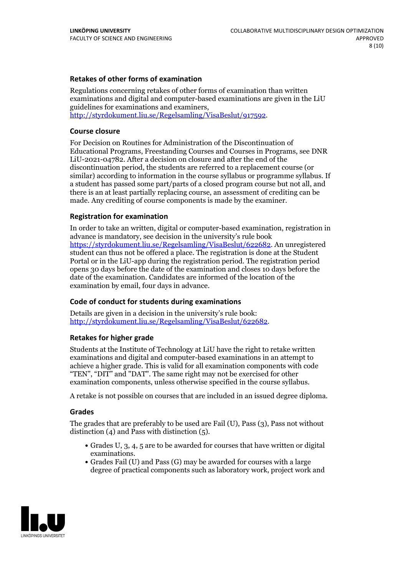### **Retakes of other forms of examination**

Regulations concerning retakes of other forms of examination than written examinations and digital and computer-based examinations are given in the LiU guidelines for examinations and examiners, [http://styrdokument.liu.se/Regelsamling/VisaBeslut/917592.](http://styrdokument.liu.se/Regelsamling/VisaBeslut/917592)

#### **Course closure**

For Decision on Routines for Administration of the Discontinuation of Educational Programs, Freestanding Courses and Courses in Programs, see DNR LiU-2021-04782. After a decision on closure and after the end of the discontinuation period, the students are referred to a replacement course (or similar) according to information in the course syllabus or programme syllabus. If a student has passed some part/parts of a closed program course but not all, and there is an at least partially replacing course, an assessment of crediting can be made. Any crediting of course components is made by the examiner.

### **Registration for examination**

In order to take an written, digital or computer-based examination, registration in advance is mandatory, see decision in the university's rule book [https://styrdokument.liu.se/Regelsamling/VisaBeslut/622682.](https://styrdokument.liu.se/Regelsamling/VisaBeslut/622682) An unregistered student can thus not be offered a place. The registration is done at the Student Portal or in the LiU-app during the registration period. The registration period opens 30 days before the date of the examination and closes 10 days before the date of the examination. Candidates are informed of the location of the examination by email, four days in advance.

## **Code of conduct for students during examinations**

Details are given in a decision in the university's rule book: <http://styrdokument.liu.se/Regelsamling/VisaBeslut/622682>.

#### **Retakes for higher grade**

Students at the Institute of Technology at LiU have the right to retake written examinations and digital and computer-based examinations in an attempt to achieve a higher grade. This is valid for all examination components with code "TEN", "DIT" and "DAT". The same right may not be exercised for other examination components, unless otherwise specified in the course syllabus.

A retake is not possible on courses that are included in an issued degree diploma.

#### **Grades**

The grades that are preferably to be used are Fail (U), Pass (3), Pass not without distinction  $(4)$  and Pass with distinction  $(5)$ .

- Grades U, 3, 4, 5 are to be awarded for courses that have written or digital examinations.<br>• Grades Fail (U) and Pass (G) may be awarded for courses with a large
- degree of practical components such as laboratory work, project work and

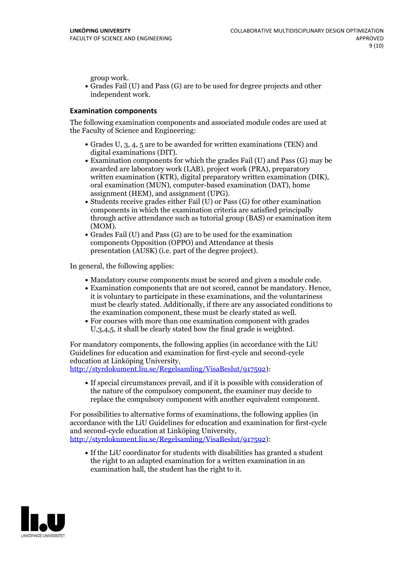group work.<br>• Grades Fail (U) and Pass (G) are to be used for degree projects and other independent work.

### **Examination components**

The following examination components and associated module codes are used at the Faculty of Science and Engineering:

- Grades U, 3, 4, 5 are to be awarded for written examinations (TEN) and
- digital examinations (DIT).<br>• Examination components for which the grades Fail (U) and Pass (G) may be awarded are laboratory work (LAB), project work (PRA), preparatory written examination (KTR), digital preparatory written examination (DIK), oral examination (MUN), computer-based examination (DAT), home
- assignment (HEM), and assignment (UPG).<br>• Students receive grades either Fail (U) or Pass (G) for other examination components in which the examination criteria are satisfied principally through active attendance such as tutorial group (BAS) or examination item
- (MOM).<br>• Grades Fail (U) and Pass (G) are to be used for the examination components Opposition (OPPO) and Attendance at thesis presentation (AUSK) (i.e. part of the degree project).

In general, the following applies:

- 
- Mandatory course components must be scored and given <sup>a</sup> module code. Examination components that are not scored, cannot be mandatory. Hence, it is voluntary to participate in these examinations, and the voluntariness must be clearly stated. Additionally, if there are any associated conditions to
- the examination component, these must be clearly stated as well.<br>• For courses with more than one examination component with grades U,3,4,5, it shall be clearly stated how the final grade is weighted.

For mandatory components, the following applies (in accordance with the LiU Guidelines for education and examination for first-cycle and second-cycle

[http://styrdokument.liu.se/Regelsamling/VisaBeslut/917592\)](http://styrdokument.liu.se/Regelsamling/VisaBeslut/917592):

If special circumstances prevail, and if it is possible with consideration of the nature of the compulsory component, the examiner may decide to replace the compulsory component with another equivalent component.

For possibilities to alternative forms of examinations, the following applies (in accordance with the LiU Guidelines for education and examination for first-cycle [http://styrdokument.liu.se/Regelsamling/VisaBeslut/917592\)](http://styrdokument.liu.se/Regelsamling/VisaBeslut/917592):

If the LiU coordinator for students with disabilities has granted a student the right to an adapted examination for a written examination in an examination hall, the student has the right to it.